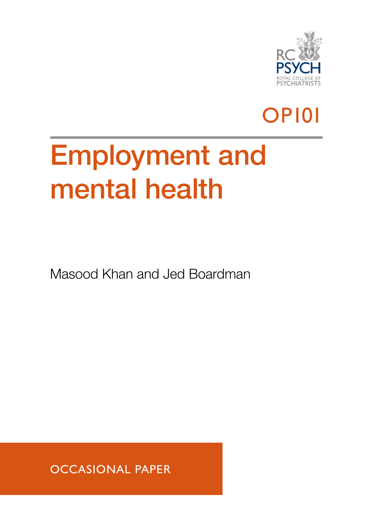

## OP101

# Employment and mental health

Masood Khan and Jed Boardman

OCCASIONAL PAPER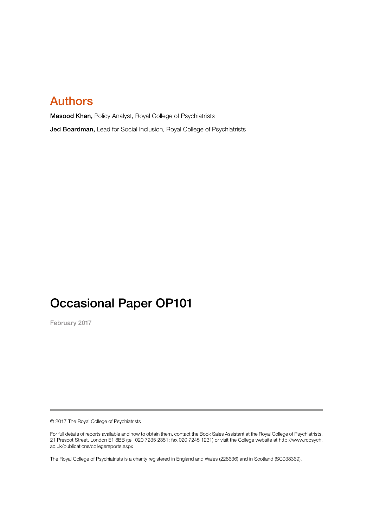## Authors

Masood Khan, Policy Analyst, Royal College of Psychiatrists Jed Boardman, Lead for Social Inclusion, Royal College of Psychiatrists

## Occasional Paper OP101

February 2017

© 2017 The Royal College of Psychiatrists

For full details of reports available and how to obtain them, contact the Book Sales Assistant at the Royal College of Psychiatrists, 21 Prescot Street, London E1 8BB (tel. 020 7235 2351; fax 020 7245 1231) or visit the College website at http://www.rcpsych. ac.uk/publications/collegereports.aspx

The Royal College of Psychiatrists is a charity registered in England and Wales (228636) and in Scotland (SC038369).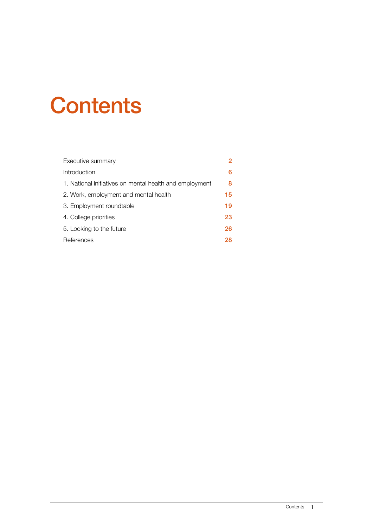## **Contents**

| Executive summary                                       | 2  |
|---------------------------------------------------------|----|
| Introduction                                            | 6  |
| 1. National initiatives on mental health and employment | 8  |
| 2. Work, employment and mental health                   | 15 |
| 3. Employment roundtable                                | 19 |
| 4. College priorities                                   | 23 |
| 5. Looking to the future                                | 26 |
| References                                              | 28 |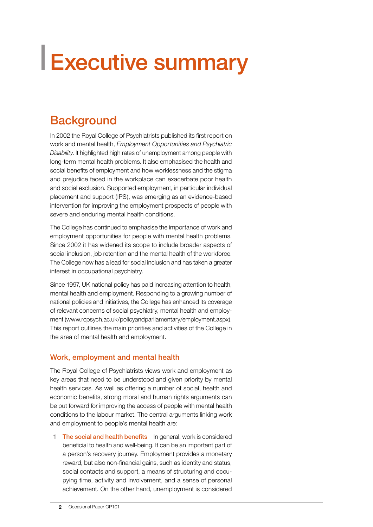# <span id="page-3-0"></span>Executive summary

## **Background**

In 2002 the Royal College of Psychiatrists published its first report on work and mental health, *Employment Opportunities and Psychiatric Disability*. It highlighted high rates of unemployment among people with long-term mental health problems. It also emphasised the health and social benefits of employment and how worklessness and the stigma and prejudice faced in the workplace can exacerbate poor health and social exclusion. Supported employment, in particular individual placement and support (IPS), was emerging as an evidence-based intervention for improving the employment prospects of people with severe and enduring mental health conditions.

The College has continued to emphasise the importance of work and employment opportunities for people with mental health problems. Since 2002 it has widened its scope to include broader aspects of social inclusion, job retention and the mental health of the workforce. The College now has a lead for social inclusion and has taken a greater interest in occupational psychiatry.

Since 1997, UK national policy has paid increasing attention to health, mental health and employment. Responding to a growing number of national policies and initiatives, the College has enhanced its coverage of relevant concerns of social psychiatry, mental health and employment (www.rcpsych.ac.uk/policyandparliamentary/employment.aspx). This report outlines the main priorities and activities of the College in the area of mental health and employment.

#### Work, employment and mental health

The Royal College of Psychiatrists views work and employment as key areas that need to be understood and given priority by mental health services. As well as offering a number of social, health and economic benefits, strong moral and human rights arguments can be put forward for improving the access of people with mental health conditions to the labour market. The central arguments linking work and employment to people's mental health are:

1 The social and health benefits In general, work is considered beneficial to health and well-being. It can be an important part of a person's recovery journey. Employment provides a monetary reward, but also non-financial gains, such as identity and status, social contacts and support, a means of structuring and occupying time, activity and involvement, and a sense of personal achievement. On the other hand, unemployment is considered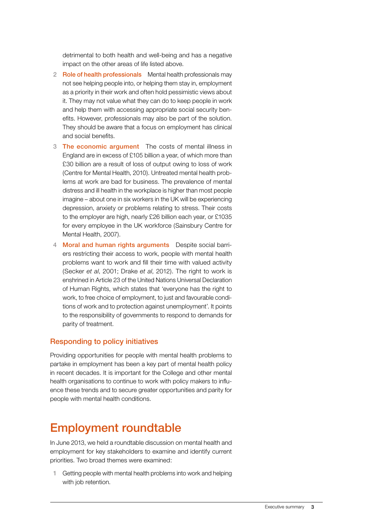detrimental to both health and well-being and has a negative impact on the other areas of life listed above.

- 2 Role of health professionals Mental health professionals may not see helping people into, or helping them stay in, employment as a priority in their work and often hold pessimistic views about it. They may not value what they can do to keep people in work and help them with accessing appropriate social security benefits. However, professionals may also be part of the solution. They should be aware that a focus on employment has clinical and social benefits.
- 3 The economic argument The costs of mental illness in England are in excess of £105 billion a year, of which more than £30 billion are a result of loss of output owing to loss of work (Centre for Mental Health, 2010). Untreated mental health problems at work are bad for business. The prevalence of mental distress and ill health in the workplace is higher than most people imagine – about one in six workers in the UK will be experiencing depression, anxiety or problems relating to stress. Their costs to the employer are high, nearly £26 billion each year, or £1035 for every employee in the UK workforce (Sainsbury Centre for Mental Health, 2007).
- 4 Moral and human rights arguments Despite social barriers restricting their access to work, people with mental health problems want to work and fill their time with valued activity (Secker *et al*, 2001; Drake *et al*, 2012). The right to work is enshrined in Article 23 of the United Nations Universal Declaration of Human Rights, which states that 'everyone has the right to work, to free choice of employment, to just and favourable conditions of work and to protection against unemployment'. It points to the responsibility of governments to respond to demands for parity of treatment.

#### Responding to policy initiatives

Providing opportunities for people with mental health problems to partake in employment has been a key part of mental health policy in recent decades. It is important for the College and other mental health organisations to continue to work with policy makers to influence these trends and to secure greater opportunities and parity for people with mental health conditions.

## Employment roundtable

In June 2013, we held a roundtable discussion on mental health and employment for key stakeholders to examine and identify current priorities. Two broad themes were examined:

1 Getting people with mental health problems into work and helping with job retention.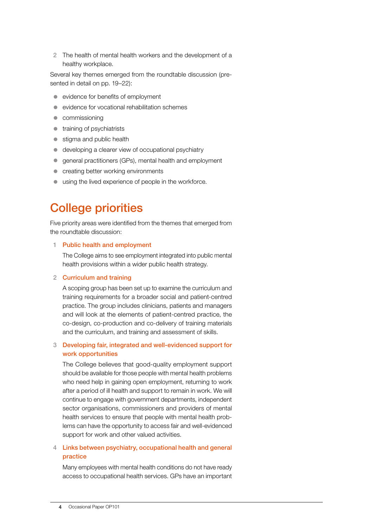2 The health of mental health workers and the development of a healthy workplace.

Several key themes emerged from the roundtable discussion (presented in detail on pp. 19–22):

- $\bullet$  evidence for benefits of employment
- z evidence for vocational rehabilitation schemes
- $\bullet$  commissioning
- $\bullet$  training of psychiatrists
- $\bullet$  stigma and public health
- $\bullet$  developing a clearer view of occupational psychiatry
- **•** general practitioners (GPs), mental health and employment
- $\bullet$  creating better working environments
- using the lived experience of people in the workforce.

## College priorities

Five priority areas were identified from the themes that emerged from the roundtable discussion:

#### 1 Public health and employment

The College aims to see employment integrated into public mental health provisions within a wider public health strategy.

#### 2 Curriculum and training

A scoping group has been set up to examine the curriculum and training requirements for a broader social and patient-centred practice. The group includes clinicians, patients and managers and will look at the elements of patient-centred practice, the co-design, co-production and co-delivery of training materials and the curriculum, and training and assessment of skills.

#### 3 Developing fair, integrated and well-evidenced support for work opportunities

The College believes that good-quality employment support should be available for those people with mental health problems who need help in gaining open employment, returning to work after a period of ill health and support to remain in work. We will continue to engage with government departments, independent sector organisations, commissioners and providers of mental health services to ensure that people with mental health problems can have the opportunity to access fair and well-evidenced support for work and other valued activities.

#### 4 Links between psychiatry, occupational health and general practice

Many employees with mental health conditions do not have ready access to occupational health services. GPs have an important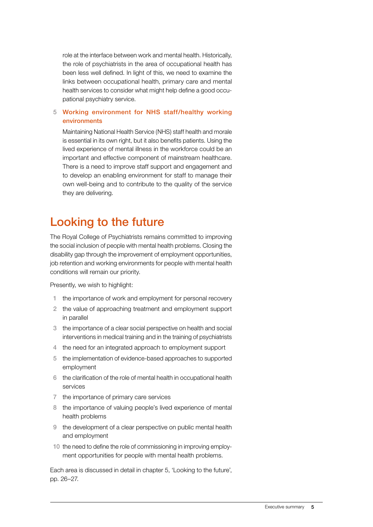role at the interface between work and mental health. Historically, the role of psychiatrists in the area of occupational health has been less well defined. In light of this, we need to examine the links between occupational health, primary care and mental health services to consider what might help define a good occupational psychiatry service.

#### 5 Working environment for NHS staff/healthy working environments

Maintaining National Health Service (NHS) staff health and morale is essential in its own right, but it also benefits patients. Using the lived experience of mental illness in the workforce could be an important and effective component of mainstream healthcare. There is a need to improve staff support and engagement and to develop an enabling environment for staff to manage their own well-being and to contribute to the quality of the service they are delivering.

## Looking to the future

The Royal College of Psychiatrists remains committed to improving the social inclusion of people with mental health problems. Closing the disability gap through the improvement of employment opportunities, job retention and working environments for people with mental health conditions will remain our priority.

Presently, we wish to highlight:

- 1 the importance of work and employment for personal recovery
- 2 the value of approaching treatment and employment support in parallel
- 3 the importance of a clear social perspective on health and social interventions in medical training and in the training of psychiatrists
- 4 the need for an integrated approach to employment support
- 5 the implementation of evidence-based approaches to supported employment
- 6 the clarification of the role of mental health in occupational health services
- 7 the importance of primary care services
- 8 the importance of valuing people's lived experience of mental health problems
- 9 the development of a clear perspective on public mental health and employment
- 10 the need to define the role of commissioning in improving employment opportunities for people with mental health problems.

Each area is discussed in detail in chapter 5, 'Looking to the future', pp. 26–27.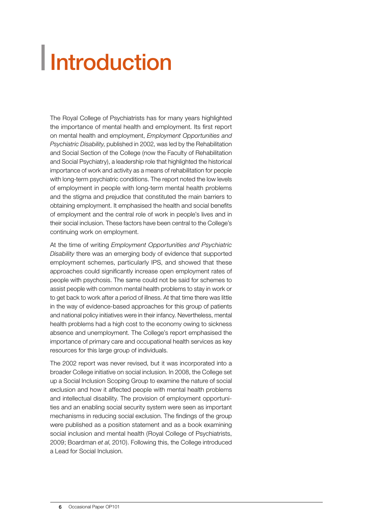# <span id="page-7-0"></span>Introduction

The Royal College of Psychiatrists has for many years highlighted the importance of mental health and employment. Its first report on mental health and employment, *Employment Opportunities and Psychiatric Disability*, published in 2002, was led by the Rehabilitation and Social Section of the College (now the Faculty of Rehabilitation and Social Psychiatry), a leadership role that highlighted the historical importance of work and activity as a means of rehabilitation for people with long-term psychiatric conditions. The report noted the low levels of employment in people with long-term mental health problems and the stigma and prejudice that constituted the main barriers to obtaining employment. It emphasised the health and social benefits of employment and the central role of work in people's lives and in their social inclusion. These factors have been central to the College's continuing work on employment.

At the time of writing *Employment Opportunities and Psychiatric Disability* there was an emerging body of evidence that supported employment schemes, particularly IPS, and showed that these approaches could significantly increase open employment rates of people with psychosis. The same could not be said for schemes to assist people with common mental health problems to stay in work or to get back to work after a period of illness. At that time there was little in the way of evidence-based approaches for this group of patients and national policy initiatives were in their infancy. Nevertheless, mental health problems had a high cost to the economy owing to sickness absence and unemployment. The College's report emphasised the importance of primary care and occupational health services as key resources for this large group of individuals.

The 2002 report was never revised, but it was incorporated into a broader College initiative on social inclusion. In 2008, the College set up a Social Inclusion Scoping Group to examine the nature of social exclusion and how it affected people with mental health problems and intellectual disability. The provision of employment opportunities and an enabling social security system were seen as important mechanisms in reducing social exclusion. The findings of the group were published as a position statement and as a book examining social inclusion and mental health (Royal College of Psychiatrists, 2009; Boardman *et al*, 2010). Following this, the College introduced a Lead for Social Inclusion.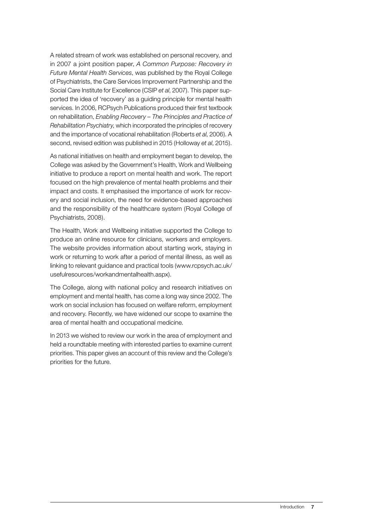A related stream of work was established on personal recovery, and in 2007 a joint position paper, *A Common Purpose: Recovery in Future Mental Health Services*, was published by the Royal College of Psychiatrists, the Care Services Improvement Partnership and the Social Care Institute for Excellence (CSIP *et al*, 2007). This paper supported the idea of 'recovery' as a guiding principle for mental health services. In 2006, RCPsych Publications produced their first textbook on rehabilitation, *Enabling Recovery – The Principles and Practice of Rehabilitation Psychiatry*, which incorporated the principles of recovery and the importance of vocational rehabilitation (Roberts *et al*, 2006). A second, revised edition was published in 2015 (Holloway *et al*, 2015).

As national initiatives on health and employment began to develop, the College was asked by the Government's Health, Work and Wellbeing initiative to produce a report on mental health and work. The report focused on the high prevalence of mental health problems and their impact and costs. It emphasised the importance of work for recovery and social inclusion, the need for evidence-based approaches and the responsibility of the healthcare system (Royal College of Psychiatrists, 2008).

The Health, Work and Wellbeing initiative supported the College to produce an online resource for clinicians, workers and employers. The website provides information about starting work, staying in work or returning to work after a period of mental illness, as well as linking to relevant guidance and practical tools (www.rcpsych.ac.uk/ usefulresources/workandmentalhealth.aspx).

The College, along with national policy and research initiatives on employment and mental health, has come a long way since 2002. The work on social inclusion has focused on welfare reform, employment and recovery. Recently, we have widened our scope to examine the area of mental health and occupational medicine.

In 2013 we wished to review our work in the area of employment and held a roundtable meeting with interested parties to examine current priorities. This paper gives an account of this review and the College's priorities for the future.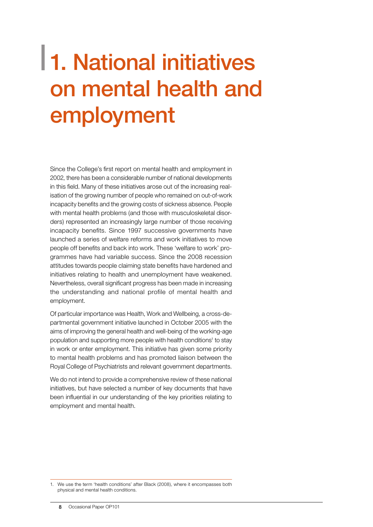## <span id="page-9-0"></span>1. National initiatives on mental health and employment

Since the College's first report on mental health and employment in 2002, there has been a considerable number of national developments in this field. Many of these initiatives arose out of the increasing realisation of the growing number of people who remained on out-of-work incapacity benefits and the growing costs of sickness absence. People with mental health problems (and those with musculoskeletal disorders) represented an increasingly large number of those receiving incapacity benefits. Since 1997 successive governments have launched a series of welfare reforms and work initiatives to move people off benefits and back into work. These 'welfare to work' programmes have had variable success. Since the 2008 recession attitudes towards people claiming state benefits have hardened and initiatives relating to health and unemployment have weakened. Nevertheless, overall significant progress has been made in increasing the understanding and national profile of mental health and employment.

Of particular importance was Health, Work and Wellbeing, a cross-departmental government initiative launched in October 2005 with the aims of improving the general health and well-being of the working-age population and supporting more people with health conditions<sup>1</sup> to stay in work or enter employment. This initiative has given some priority to mental health problems and has promoted liaison between the Royal College of Psychiatrists and relevant government departments.

We do not intend to provide a comprehensive review of these national initiatives, but have selected a number of key documents that have been influential in our understanding of the key priorities relating to employment and mental health.

<sup>1.</sup> We use the term 'health conditions' after Black (2008), where it encompasses both physical and mental health conditions.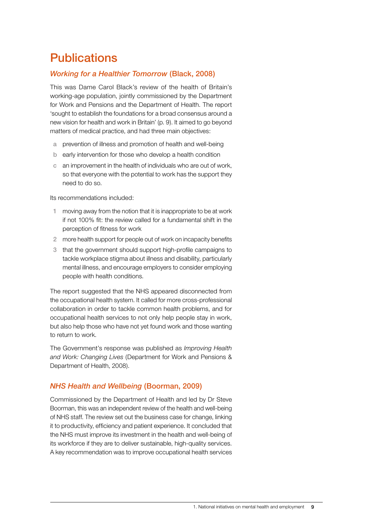## **Publications**

#### *Working for a Healthier Tomorrow* (Black, 2008)

This was Dame Carol Black's review of the health of Britain's working-age population, jointly commissioned by the Department for Work and Pensions and the Department of Health. The report 'sought to establish the foundations for a broad consensus around a new vision for health and work in Britain' (p. 9). It aimed to go beyond matters of medical practice, and had three main objectives:

- a prevention of illness and promotion of health and well-being
- b early intervention for those who develop a health condition
- c an improvement in the health of individuals who are out of work, so that everyone with the potential to work has the support they need to do so.

Its recommendations included:

- 1 moving away from the notion that it is inappropriate to be at work if not 100% fit: the review called for a fundamental shift in the perception of fitness for work
- 2 more health support for people out of work on incapacity benefits
- 3 that the government should support high-profile campaigns to tackle workplace stigma about illness and disability, particularly mental illness, and encourage employers to consider employing people with health conditions.

The report suggested that the NHS appeared disconnected from the occupational health system. It called for more cross-professional collaboration in order to tackle common health problems, and for occupational health services to not only help people stay in work, but also help those who have not yet found work and those wanting to return to work.

The Government's response was published as *Improving Health and Work: Changing Lives* (Department for Work and Pensions & Department of Health, 2008).

#### *NHS Health and Wellbeing* (Boorman, 2009)

Commissioned by the Department of Health and led by Dr Steve Boorman, this was an independent review of the health and well-being of NHS staff. The review set out the business case for change, linking it to productivity, efficiency and patient experience. It concluded that the NHS must improve its investment in the health and well-being of its workforce if they are to deliver sustainable, high-quality services. A key recommendation was to improve occupational health services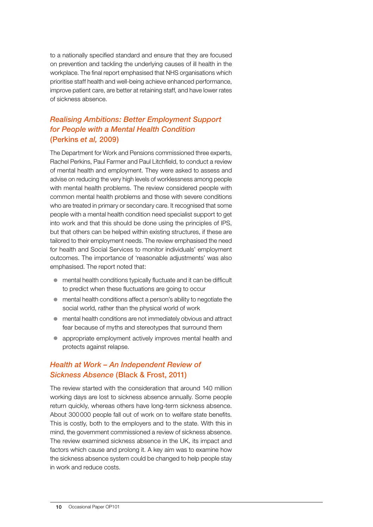to a nationally specified standard and ensure that they are focused on prevention and tackling the underlying causes of ill health in the workplace. The final report emphasised that NHS organisations which prioritise staff health and well-being achieve enhanced performance, improve patient care, are better at retaining staff, and have lower rates of sickness absence.

## *Realising Ambitions: Better Employment Support for People with a Mental Health Condition* (Perkins *et al,* 2009)

The Department for Work and Pensions commissioned three experts, Rachel Perkins, Paul Farmer and Paul Litchfield, to conduct a review of mental health and employment. They were asked to assess and advise on reducing the very high levels of worklessness among people with mental health problems. The review considered people with common mental health problems and those with severe conditions who are treated in primary or secondary care. It recognised that some people with a mental health condition need specialist support to get into work and that this should be done using the principles of IPS, but that others can be helped within existing structures, if these are tailored to their employment needs. The review emphasised the need for health and Social Services to monitor individuals' employment outcomes. The importance of 'reasonable adjustments' was also emphasised. The report noted that:

- $\bullet$  mental health conditions typically fluctuate and it can be difficult to predict when these fluctuations are going to occur
- $\bullet$  mental health conditions affect a person's ability to negotiate the social world, rather than the physical world of work
- $\bullet$  mental health conditions are not immediately obvious and attract fear because of myths and stereotypes that surround them
- appropriate employment actively improves mental health and protects against relapse.

#### *Health at Work – An Independent Review of Sickness Absence* (Black & Frost, 2011)

The review started with the consideration that around 140 million working days are lost to sickness absence annually. Some people return quickly, whereas others have long-term sickness absence. About 300000 people fall out of work on to welfare state benefits. This is costly, both to the employers and to the state. With this in mind, the government commissioned a review of sickness absence. The review examined sickness absence in the UK, its impact and factors which cause and prolong it. A key aim was to examine how the sickness absence system could be changed to help people stay in work and reduce costs.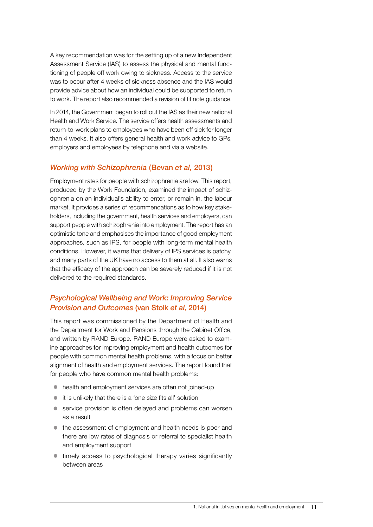A key recommendation was for the setting up of a new Independent Assessment Service (IAS) to assess the physical and mental functioning of people off work owing to sickness. Access to the service was to occur after 4 weeks of sickness absence and the IAS would provide advice about how an individual could be supported to return to work. The report also recommended a revision of fit note guidance.

In 2014, the Government began to roll out the IAS as their new national Health and Work Service. The service offers health assessments and return-to-work plans to employees who have been off sick for longer than 4 weeks. It also offers general health and work advice to GPs, employers and employees by telephone and via a website.

#### *Working with Schizophrenia* (Bevan *et al,* 2013)

Employment rates for people with schizophrenia are low. This report, produced by the Work Foundation, examined the impact of schizophrenia on an individual's ability to enter, or remain in, the labour market. It provides a series of recommendations as to how key stakeholders, including the government, health services and employers, can support people with schizophrenia into employment. The report has an optimistic tone and emphasises the importance of good employment approaches, such as IPS, for people with long-term mental health conditions. However, it warns that delivery of IPS services is patchy, and many parts of the UK have no access to them at all. It also warns that the efficacy of the approach can be severely reduced if it is not delivered to the required standards.

### *Psychological Wellbeing and Work: Improving Service Provision and Outcomes* (van Stolk *et al*, 2014)

This report was commissioned by the Department of Health and the Department for Work and Pensions through the Cabinet Office, and written by RAND Europe. RAND Europe were asked to examine approaches for improving employment and health outcomes for people with common mental health problems, with a focus on better alignment of health and employment services. The report found that for people who have common mental health problems:

- health and employment services are often not joined-up
- $\bullet$  it is unlikely that there is a 'one size fits all' solution
- $\bullet$  service provision is often delayed and problems can worsen as a result
- $\bullet$  the assessment of employment and health needs is poor and there are low rates of diagnosis or referral to specialist health and employment support
- $\bullet$  timely access to psychological therapy varies significantly between areas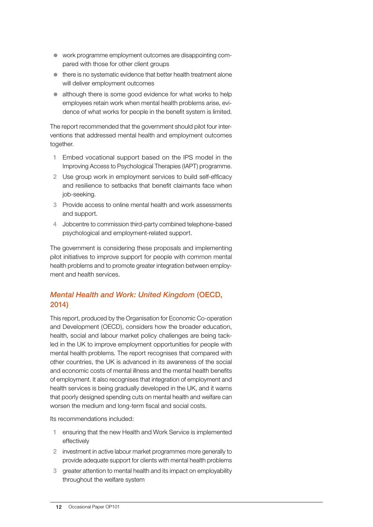- $\bullet$  work programme employment outcomes are disappointing compared with those for other client groups
- $\bullet$  there is no systematic evidence that better health treatment alone will deliver employment outcomes
- $\bullet$  although there is some good evidence for what works to help employees retain work when mental health problems arise, evidence of what works for people in the benefit system is limited.

The report recommended that the government should pilot four interventions that addressed mental health and employment outcomes together.

- 1 Embed vocational support based on the IPS model in the Improving Access to Psychological Therapies (IAPT) programme.
- 2 Use group work in employment services to build self-efficacy and resilience to setbacks that benefit claimants face when job-seeking.
- 3 Provide access to online mental health and work assessments and support.
- 4 Jobcentre to commission third-party combined telephone-based psychological and employment-related support.

The government is considering these proposals and implementing pilot initiatives to improve support for people with common mental health problems and to promote greater integration between employment and health services.

## *Mental Health and Work: United Kingdom* (OECD, 2014)

This report, produced by the Organisation for Economic Co-operation and Development (OECD), considers how the broader education, health, social and labour market policy challenges are being tackled in the UK to improve employment opportunities for people with mental health problems. The report recognises that compared with other countries, the UK is advanced in its awareness of the social and economic costs of mental illness and the mental health benefits of employment. It also recognises that integration of employment and health services is being gradually developed in the UK, and it warns that poorly designed spending cuts on mental health and welfare can worsen the medium and long-term fiscal and social costs.

Its recommendations included:

- 1 ensuring that the new Health and Work Service is implemented effectively
- 2 investment in active labour market programmes more generally to provide adequate support for clients with mental health problems
- 3 greater attention to mental health and its impact on employability throughout the welfare system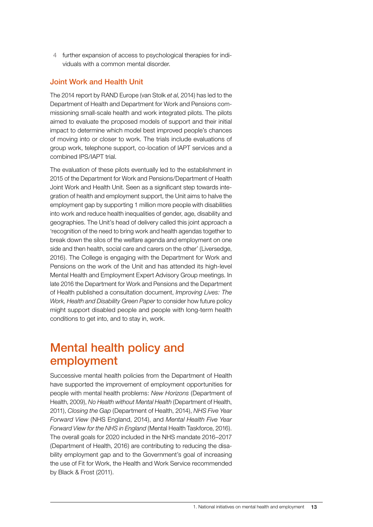4 further expansion of access to psychological therapies for individuals with a common mental disorder.

#### Joint Work and Health Unit

The 2014 report by RAND Europe (van Stolk *et al*, 2014) has led to the Department of Health and Department for Work and Pensions commissioning small-scale health and work integrated pilots. The pilots aimed to evaluate the proposed models of support and their initial impact to determine which model best improved people's chances of moving into or closer to work. The trials include evaluations of group work, telephone support, co-location of IAPT services and a combined IPS/IAPT trial.

The evaluation of these pilots eventually led to the establishment in 2015 of the Department for Work and Pensions/Department of Health Joint Work and Health Unit. Seen as a significant step towards integration of health and employment support, the Unit aims to halve the employment gap by supporting 1 million more people with disabilities into work and reduce health inequalities of gender, age, disability and geographies. The Unit's head of delivery called this joint approach a 'recognition of the need to bring work and health agendas together to break down the silos of the welfare agenda and employment on one side and then health, social care and carers on the other' (Liversedge, 2016). The College is engaging with the Department for Work and Pensions on the work of the Unit and has attended its high-level Mental Health and Employment Expert Advisory Group meetings. In late 2016 the Department for Work and Pensions and the Department of Health published a consultation document, *Improving Lives: The Work, Health and Disability Green Paper* to consider how future policy might support disabled people and people with long-term health conditions to get into, and to stay in, work.

## Mental health policy and employment

Successive mental health policies from the Department of Health have supported the improvement of employment opportunities for people with mental health problems: *New Horizons* (Department of Health, 2009), *No Health without Mental Health* (Department of Health, 2011), *Closing the Gap* (Department of Health, 2014), *NHS Five Year Forward View* (NHS England, 2014), and *Mental Health Five Year Forward View for the NHS in England* (Mental Health Taskforce, 2016). The overall goals for 2020 included in the NHS mandate 2016–2017 (Department of Health, 2016) are contributing to reducing the disability employment gap and to the Government's goal of increasing the use of Fit for Work, the Health and Work Service recommended by Black & Frost (2011).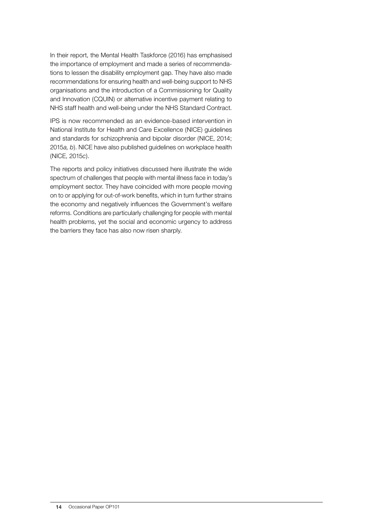In their report, the Mental Health Taskforce (2016) has emphasised the importance of employment and made a series of recommendations to lessen the disability employment gap. They have also made recommendations for ensuring health and well-being support to NHS organisations and the introduction of a Commissioning for Quality and Innovation (CQUIN) or alternative incentive payment relating to NHS staff health and well-being under the NHS Standard Contract.

IPS is now recommended as an evidence-based intervention in National Institute for Health and Care Excellence (NICE) guidelines and standards for schizophrenia and bipolar disorder (NICE, 2014; 2015*a, b*). NICE have also published guidelines on workplace health (NICE, 2015*c*).

The reports and policy initiatives discussed here illustrate the wide spectrum of challenges that people with mental illness face in today's employment sector. They have coincided with more people moving on to or applying for out-of-work benefits, which in turn further strains the economy and negatively influences the Government's welfare reforms. Conditions are particularly challenging for people with mental health problems, yet the social and economic urgency to address the barriers they face has also now risen sharply.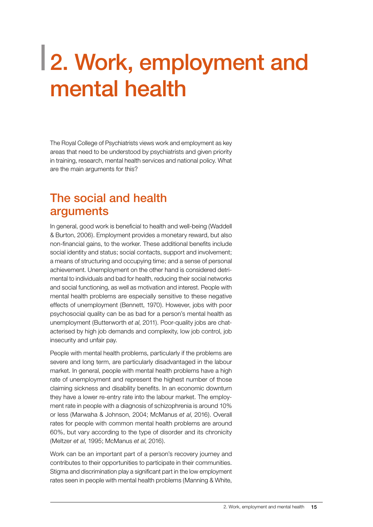## <span id="page-16-0"></span>2. Work, employment and mental health

The Royal College of Psychiatrists views work and employment as key areas that need to be understood by psychiatrists and given priority in training, research, mental health services and national policy. What are the main arguments for this?

## The social and health arguments

In general, good work is beneficial to health and well-being (Waddell & Burton, 2006). Employment provides a monetary reward, but also non-financial gains, to the worker. These additional benefits include social identity and status; social contacts, support and involvement; a means of structuring and occupying time; and a sense of personal achievement. Unemployment on the other hand is considered detrimental to individuals and bad for health, reducing their social networks and social functioning, as well as motivation and interest. People with mental health problems are especially sensitive to these negative effects of unemployment (Bennett, 1970). However, jobs with poor psychosocial quality can be as bad for a person's mental health as unemployment (Butterworth *et al*, 2011). Poor-quality jobs are chatacterised by high job demands and complexity, low job control, job insecurity and unfair pay.

People with mental health problems, particularly if the problems are severe and long term, are particularly disadvantaged in the labour market. In general, people with mental health problems have a high rate of unemployment and represent the highest number of those claiming sickness and disability benefits. In an economic downturn they have a lower re-entry rate into the labour market. The employment rate in people with a diagnosis of schizophrenia is around 10% or less (Marwaha & Johnson, 2004; McManus *et al*, 2016). Overall rates for people with common mental health problems are around 60%, but vary according to the type of disorder and its chronicity (Meltzer *et al*, 1995; McManus *et al*, 2016).

Work can be an important part of a person's recovery journey and contributes to their opportunities to participate in their communities. Stigma and discrimination play a significant part in the low employment rates seen in people with mental health problems (Manning & White,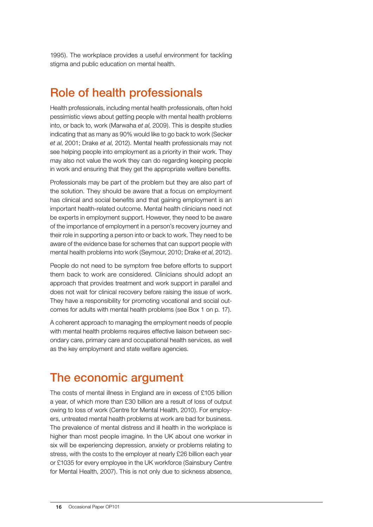1995). The workplace provides a useful environment for tackling stigma and public education on mental health.

## Role of health professionals

Health professionals, including mental health professionals, often hold pessimistic views about getting people with mental health problems into, or back to, work (Marwaha *et al*, 2009). This is despite studies indicating that as many as 90% would like to go back to work (Secker *et al*, 2001; Drake *et al*, 2012). Mental health professionals may not see helping people into employment as a priority in their work. They may also not value the work they can do regarding keeping people in work and ensuring that they get the appropriate welfare benefits.

Professionals may be part of the problem but they are also part of the solution. They should be aware that a focus on employment has clinical and social benefits and that gaining employment is an important health-related outcome. Mental health clinicians need not be experts in employment support. However, they need to be aware of the importance of employment in a person's recovery journey and their role in supporting a person into or back to work. They need to be aware of the evidence base for schemes that can support people with mental health problems into work (Seymour, 2010; Drake *et al*, 2012).

People do not need to be symptom free before efforts to support them back to work are considered. Clinicians should adopt an approach that provides treatment and work support in parallel and does not wait for clinical recovery before raising the issue of work. They have a responsibility for promoting vocational and social outcomes for adults with mental health problems (see [Box 1](#page-18-0) on p. 17).

A coherent approach to managing the employment needs of people with mental health problems requires effective liaison between secondary care, primary care and occupational health services, as well as the key employment and state welfare agencies.

## The economic argument

The costs of mental illness in England are in excess of £105 billion a year, of which more than £30 billion are a result of loss of output owing to loss of work (Centre for Mental Health, 2010). For employers, untreated mental health problems at work are bad for business. The prevalence of mental distress and ill health in the workplace is higher than most people imagine. In the UK about one worker in six will be experiencing depression, anxiety or problems relating to stress, with the costs to the employer at nearly £26 billion each year or £1035 for every employee in the UK workforce (Sainsbury Centre for Mental Health, 2007). This is not only due to sickness absence,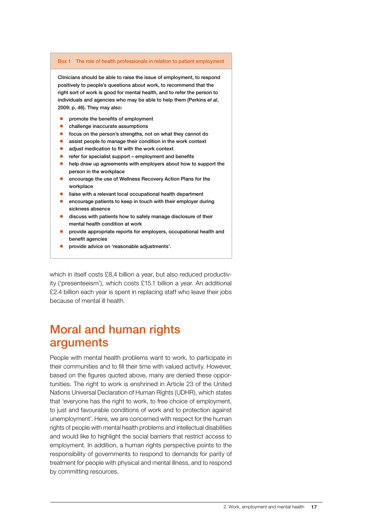#### <span id="page-18-0"></span>Box 1 The role of health professionals in relation to patient employment

Clinicians should be able to raise the issue of employment, to respond positively to people's questions about work, to recommend that the right sort of work is good for mental health, and to refer the person to individuals and agencies who may be able to help them (Perkins *et al*, 2009: p. 46). They may also:

- promote the benefits of employment
- challenge inaccurate assumptions
- focus on the person's strengths, not on what they cannot do
- assist people to manage their condition in the work context
- $\bullet$  adjust medication to fit with the work context
- refer for specialist support employment and benefits
- help draw up agreements with employers about how to support the person in the workplace
- encourage the use of Wellness Recovery Action Plans for the workplace
- liaise with a relevant local occupational health department
- encourage patients to keep in touch with their employer during sickness absence
- discuss with patients how to safely manage disclosure of their mental health condition at work
- provide appropriate reports for employers, occupational health and benefit agencies
- provide advice on 'reasonable adjustments'.

which in itself costs £8.4 billion a year, but also reduced productivity ('presenteeism'), which costs £15.1 billion a year. An additional £2.4 billion each year is spent in replacing staff who leave their jobs because of mental ill health.

## Moral and human rights arguments

People with mental health problems want to work, to participate in their communities and to fill their time with valued activity. However, based on the figures quoted above, many are denied these opportunities. The right to work is enshrined in Article 23 of the United Nations Universal Declaration of Human Rights (UDHR), which states that 'everyone has the right to work, to free choice of employment, to just and favourable conditions of work and to protection against unemployment'. Here, we are concerned with respect for the human rights of people with mental health problems and intellectual disabilities and would like to highlight the social barriers that restrict access to employment. In addition, a human rights perspective points to the responsibility of governments to respond to demands for parity of treatment for people with physical and mental illness, and to respond by committing resources.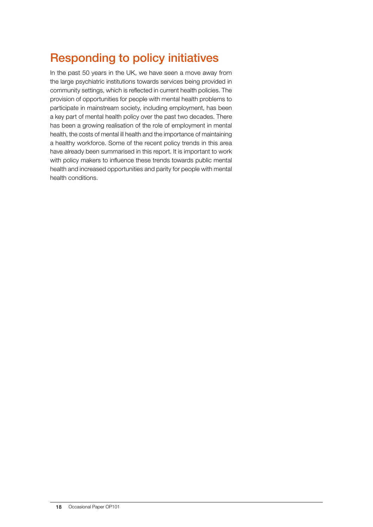## Responding to policy initiatives

In the past 50 years in the UK, we have seen a move away from the large psychiatric institutions towards services being provided in community settings, which is reflected in current health policies. The provision of opportunities for people with mental health problems to participate in mainstream society, including employment, has been a key part of mental health policy over the past two decades. There has been a growing realisation of the role of employment in mental health, the costs of mental ill health and the importance of maintaining a healthy workforce. Some of the recent policy trends in this area have already been summarised in this report. It is important to work with policy makers to influence these trends towards public mental health and increased opportunities and parity for people with mental health conditions.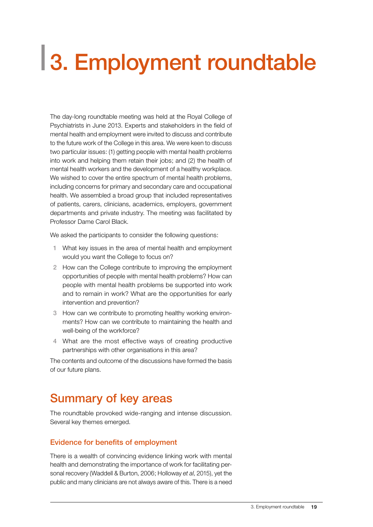# <span id="page-20-0"></span>3. Employment roundtable

The day-long roundtable meeting was held at the Royal College of Psychiatrists in June 2013. Experts and stakeholders in the field of mental health and employment were invited to discuss and contribute to the future work of the College in this area. We were keen to discuss two particular issues: (1) getting people with mental health problems into work and helping them retain their jobs; and (2) the health of mental health workers and the development of a healthy workplace. We wished to cover the entire spectrum of mental health problems, including concerns for primary and secondary care and occupational health. We assembled a broad group that included representatives of patients, carers, clinicians, academics, employers, government departments and private industry. The meeting was facilitated by Professor Dame Carol Black.

We asked the participants to consider the following questions:

- 1 What key issues in the area of mental health and employment would you want the College to focus on?
- 2 How can the College contribute to improving the employment opportunities of people with mental health problems? How can people with mental health problems be supported into work and to remain in work? What are the opportunities for early intervention and prevention?
- 3 How can we contribute to promoting healthy working environments? How can we contribute to maintaining the health and well-being of the workforce?
- 4 What are the most effective ways of creating productive partnerships with other organisations in this area?

The contents and outcome of the discussions have formed the basis of our future plans.

## Summary of key areas

The roundtable provoked wide-ranging and intense discussion. Several key themes emerged.

#### Evidence for benefits of employment

There is a wealth of convincing evidence linking work with mental health and demonstrating the importance of work for facilitating personal recovery (Waddell & Burton, 2006; Holloway *et al*, 2015), yet the public and many clinicians are not always aware of this. There is a need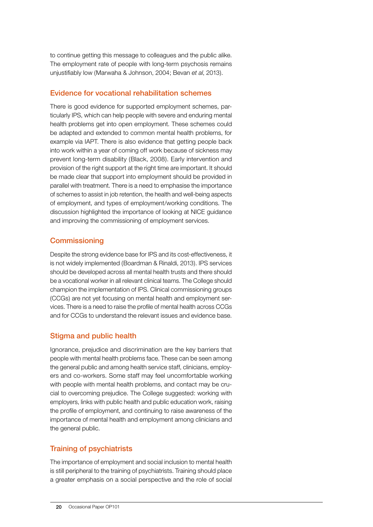to continue getting this message to colleagues and the public alike. The employment rate of people with long-term psychosis remains unjustifiably low (Marwaha & Johnson, 2004; Bevan *et al*, 2013).

#### Evidence for vocational rehabilitation schemes

There is good evidence for supported employment schemes, particularly IPS, which can help people with severe and enduring mental health problems get into open employment. These schemes could be adapted and extended to common mental health problems, for example via IAPT. There is also evidence that getting people back into work within a year of coming off work because of sickness may prevent long-term disability (Black, 2008). Early intervention and provision of the right support at the right time are important. It should be made clear that support into employment should be provided in parallel with treatment. There is a need to emphasise the importance of schemes to assist in job retention, the health and well-being aspects of employment, and types of employment/working conditions. The discussion highlighted the importance of looking at NICE guidance and improving the commissioning of employment services.

## **Commissioning**

Despite the strong evidence base for IPS and its cost-effectiveness, it is not widely implemented (Boardman & Rinaldi, 2013). IPS services should be developed across all mental health trusts and there should be a vocational worker in all relevant clinical teams. The College should champion the implementation of IPS. Clinical commissioning groups (CCGs) are not yet focusing on mental health and employment services. There is a need to raise the profile of mental health across CCGs and for CCGs to understand the relevant issues and evidence base.

#### Stigma and public health

Ignorance, prejudice and discrimination are the key barriers that people with mental health problems face. These can be seen among the general public and among health service staff, clinicians, employers and co-workers. Some staff may feel uncomfortable working with people with mental health problems, and contact may be crucial to overcoming prejudice. The College suggested: working with employers, links with public health and public education work, raising the profile of employment, and continuing to raise awareness of the importance of mental health and employment among clinicians and the general public.

### Training of psychiatrists

The importance of employment and social inclusion to mental health is still peripheral to the training of psychiatrists. Training should place a greater emphasis on a social perspective and the role of social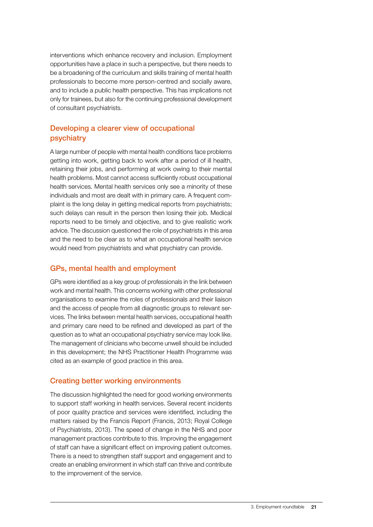interventions which enhance recovery and inclusion. Employment opportunities have a place in such a perspective, but there needs to be a broadening of the curriculum and skills training of mental health professionals to become more person-centred and socially aware, and to include a public health perspective. This has implications not only for trainees, but also for the continuing professional development of consultant psychiatrists.

### Developing a clearer view of occupational psychiatry

A large number of people with mental health conditions face problems getting into work, getting back to work after a period of ill health, retaining their jobs, and performing at work owing to their mental health problems. Most cannot access sufficiently robust occupational health services. Mental health services only see a minority of these individuals and most are dealt with in primary care. A frequent complaint is the long delay in getting medical reports from psychiatrists; such delays can result in the person then losing their job. Medical reports need to be timely and objective, and to give realistic work advice. The discussion questioned the role of psychiatrists in this area and the need to be clear as to what an occupational health service would need from psychiatrists and what psychiatry can provide.

#### GPs, mental health and employment

GPs were identified as a key group of professionals in the link between work and mental health. This concerns working with other professional organisations to examine the roles of professionals and their liaison and the access of people from all diagnostic groups to relevant services. The links between mental health services, occupational health and primary care need to be refined and developed as part of the question as to what an occupational psychiatry service may look like. The management of clinicians who become unwell should be included in this development; the NHS Practitioner Health Programme was cited as an example of good practice in this area.

### Creating better working environments

The discussion highlighted the need for good working environments to support staff working in health services. Several recent incidents of poor quality practice and services were identified, including the matters raised by the Francis Report (Francis, 2013; Royal College of Psychiatrists, 2013). The speed of change in the NHS and poor management practices contribute to this. Improving the engagement of staff can have a significant effect on improving patient outcomes. There is a need to strengthen staff support and engagement and to create an enabling environment in which staff can thrive and contribute to the improvement of the service.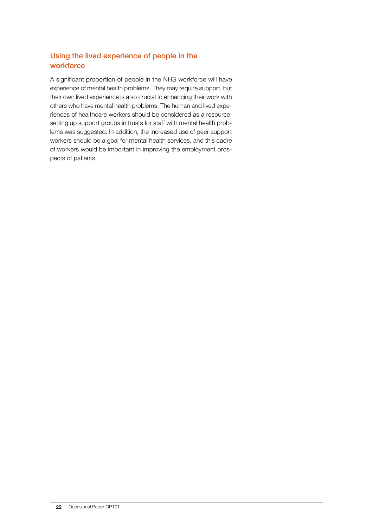## Using the lived experience of people in the workforce

A significant proportion of people in the NHS workforce will have experience of mental health problems. They may require support, but their own lived experience is also crucial to enhancing their work with others who have mental health problems. The human and lived experiences of healthcare workers should be considered as a resource; setting up support groups in trusts for staff with mental health problems was suggested. In addition, the increased use of peer support workers should be a goal for mental health services, and this cadre of workers would be important in improving the employment prospects of patients.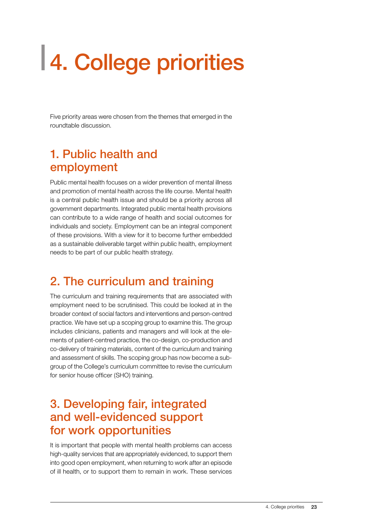# <span id="page-24-0"></span>4. College priorities

Five priority areas were chosen from the themes that emerged in the roundtable discussion.

## 1. Public health and employment

Public mental health focuses on a wider prevention of mental illness and promotion of mental health across the life course. Mental health is a central public health issue and should be a priority across all government departments. Integrated public mental health provisions can contribute to a wide range of health and social outcomes for individuals and society. Employment can be an integral component of these provisions. With a view for it to become further embedded as a sustainable deliverable target within public health, employment needs to be part of our public health strategy.

## 2. The curriculum and training

The curriculum and training requirements that are associated with employment need to be scrutinised. This could be looked at in the broader context of social factors and interventions and person-centred practice. We have set up a scoping group to examine this. The group includes clinicians, patients and managers and will look at the elements of patient-centred practice, the co-design, co-production and co-delivery of training materials, content of the curriculum and training and assessment of skills. The scoping group has now become a subgroup of the College's curriculum committee to revise the curriculum for senior house officer (SHO) training.

## 3. Developing fair, integrated and well-evidenced support for work opportunities

It is important that people with mental health problems can access high-quality services that are appropriately evidenced, to support them into good open employment, when returning to work after an episode of ill health, or to support them to remain in work. These services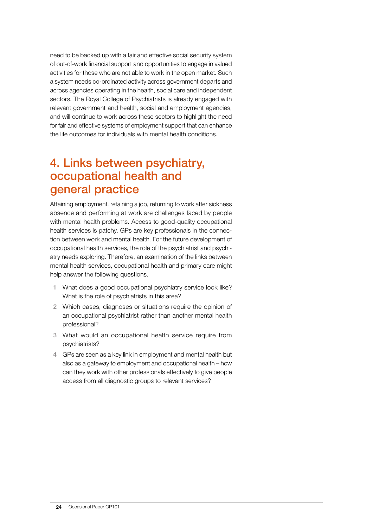need to be backed up with a fair and effective social security system of out-of-work financial support and opportunities to engage in valued activities for those who are not able to work in the open market. Such a system needs co-ordinated activity across government departs and across agencies operating in the health, social care and independent sectors. The Royal College of Psychiatrists is already engaged with relevant government and health, social and employment agencies, and will continue to work across these sectors to highlight the need for fair and effective systems of employment support that can enhance the life outcomes for individuals with mental health conditions.

## 4. Links between psychiatry, occupational health and general practice

Attaining employment, retaining a job, returning to work after sickness absence and performing at work are challenges faced by people with mental health problems. Access to good-quality occupational health services is patchy. GPs are key professionals in the connection between work and mental health. For the future development of occupational health services, the role of the psychiatrist and psychiatry needs exploring. Therefore, an examination of the links between mental health services, occupational health and primary care might help answer the following questions.

- 1 What does a good occupational psychiatry service look like? What is the role of psychiatrists in this area?
- 2 Which cases, diagnoses or situations require the opinion of an occupational psychiatrist rather than another mental health professional?
- 3 What would an occupational health service require from psychiatrists?
- 4 GPs are seen as a key link in employment and mental health but also as a gateway to employment and occupational health – how can they work with other professionals effectively to give people access from all diagnostic groups to relevant services?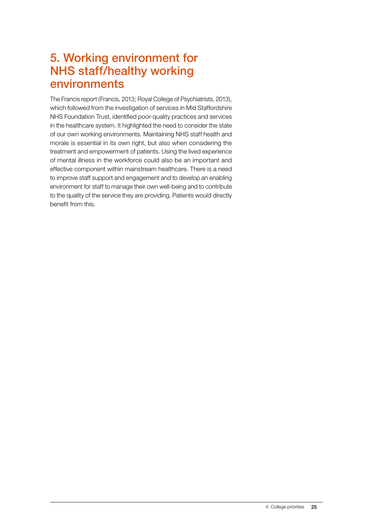## 5. Working environment for NHS staff/healthy working environments

The Francis report (Francis, 2013; Royal College of Psychiatrists, 2013), which followed from the investigation of services in Mid Staffordshire NHS Foundation Trust, identified poor-quality practices and services in the healthcare system. It highlighted the need to consider the state of our own working environments. Maintaining NHS staff health and morale is essential in its own right, but also when considering the treatment and empowerment of patients. Using the lived experience of mental illness in the workforce could also be an important and effective component within mainstream healthcare. There is a need to improve staff support and engagement and to develop an enabling environment for staff to manage their own well-being and to contribute to the quality of the service they are providing. Patients would directly benefit from this.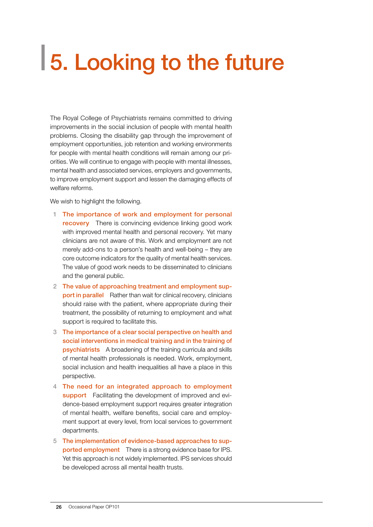# <span id="page-27-0"></span>5. Looking to the future

The Royal College of Psychiatrists remains committed to driving improvements in the social inclusion of people with mental health problems. Closing the disability gap through the improvement of employment opportunities, job retention and working environments for people with mental health conditions will remain among our priorities. We will continue to engage with people with mental illnesses, mental health and associated services, employers and governments, to improve employment support and lessen the damaging effects of welfare reforms.

We wish to highlight the following.

- 1 The importance of work and employment for personal recovery There is convincing evidence linking good work with improved mental health and personal recovery. Yet many clinicians are not aware of this. Work and employment are not merely add-ons to a person's health and well-being – they are core outcome indicators for the quality of mental health services. The value of good work needs to be disseminated to clinicians and the general public.
- 2 The value of approaching treatment and employment support in parallel Rather than wait for clinical recovery, clinicians should raise with the patient, where appropriate during their treatment, the possibility of returning to employment and what support is required to facilitate this.
- 3 The importance of a clear social perspective on health and social interventions in medical training and in the training of psychiatrists A broadening of the training curricula and skills of mental health professionals is needed. Work, employment, social inclusion and health inequalities all have a place in this perspective.
- 4 The need for an integrated approach to employment support Facilitating the development of improved and evidence-based employment support requires greater integration of mental health, welfare benefits, social care and employment support at every level, from local services to government departments.
- 5 The implementation of evidence-based approaches to supported employment There is a strong evidence base for IPS. Yet this approach is not widely implemented. IPS services should be developed across all mental health trusts.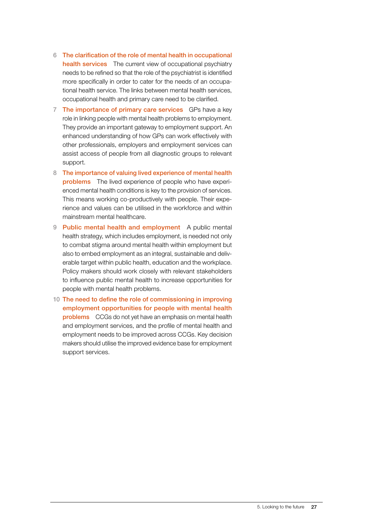- 6 The clarification of the role of mental health in occupational health services The current view of occupational psychiatry needs to be refined so that the role of the psychiatrist is identified more specifically in order to cater for the needs of an occupational health service. The links between mental health services, occupational health and primary care need to be clarified.
- 7 The importance of primary care services GPs have a key role in linking people with mental health problems to employment. They provide an important gateway to employment support. An enhanced understanding of how GPs can work effectively with other professionals, employers and employment services can assist access of people from all diagnostic groups to relevant support.
- 8 The importance of valuing lived experience of mental health problems The lived experience of people who have experienced mental health conditions is key to the provision of services. This means working co-productively with people. Their experience and values can be utilised in the workforce and within mainstream mental healthcare.
- 9 Public mental health and employment A public mental health strategy, which includes employment, is needed not only to combat stigma around mental health within employment but also to embed employment as an integral, sustainable and deliverable target within public health, education and the workplace. Policy makers should work closely with relevant stakeholders to influence public mental health to increase opportunities for people with mental health problems.
- 10 The need to define the role of commissioning in improving employment opportunities for people with mental health problems CCGs do not yet have an emphasis on mental health and employment services, and the profile of mental health and employment needs to be improved across CCGs. Key decision makers should utilise the improved evidence base for employment support services.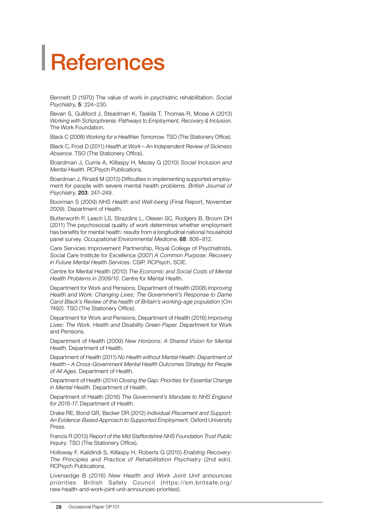# <span id="page-29-0"></span>References

Bennett D (1970) The value of work in psychiatric rehabilitation. *Social Psychiatry*, 5: 224–230.

Bevan S, Gulliford J, Steadman K, Taskila T, Thomas R, Moise A (2013) *Working with Schizophrenia: Pathways to Employment, Recovery & Inclusion*. The Work Foundation.

Black C (2008) *Working for a Healthier Tomorrow*. TSO (The Stationery Office).

Black C, Frost D (2011) *Health at Work – An Independent Review of Sickness Absence*. TSO (The Stationery Office).

Boardman J, Currie A, Killaspy H, Mezey G (2010) *Social Inclusion and Mental Health*. RCPsych Publications.

Boardman J, Rinaldi M (2013) Difficulties in implementing supported employment for people with severe mental health problems. *British Journal of Psychiatry*, 203: 247–249.

Boorman S (2009) *NHS Health and Well-being* (Final Report, November 2009). Department of Health.

Butterworth P, Leach LS, Strazdins L, Olesen SC, Rodgers B, Broom DH (2011) The psychosocial quality of work determines whether employment has benefits for mental health: results from a longitudinal national household panel survey. *Occupational Environmental Medicine*, 68: 806–812.

Care Services Improvement Partnership, Royal College of Psychiatrists, Social Care Institute for Excellence (2007) *A Common Purpose: Recovery in Future Mental Health Services*. CSIP, RCPsych, SCIE.

Centre for Mental Health (2010) *The Economic and Social Costs of Mental Health Problems in 2009/10*. Centre for Mental Health.

Department for Work and Pensions, Department of Health (2008) *Improving Health and Work: Changing Lives; The Government's Response to Dame Carol Black's Review of the health of Britain's working-age population* (Cm 7492). TSO (The Stationery Office).

Department for Work and Pensions, Department of Health (2016) *Improving Lives: The Work, Health and Disability Green Paper*. Department for Work and Pensions.

Department of Health (2009) *New Horizons: A Shared Vision for Mental Health*. Department of Health.

Department of Health (2011) *No Health without Mental Health: Department of Health – A Cross-Government Mental Health Outcomes Strategy for People of All Ages*. Department of Health.

Department of Health (2014) *Closing the Gap: Priorities for Essential Change in Mental Health*. Department of Health.

Department of Health (2016) *The Government's Mandate to NHS England for 2016-17*. Department of Health.

Drake RE, Bond GR, Becker DR (2012) *Individual Placement and Support: An Evidence-Based Approach to Supported Employment*. Oxford University Press.

Francis R (2013) *Report of the Mid Staffordshire NHS Foundation Trust Public Inquiry*. TSO (The Stationery Office).

Holloway F, Kalidindi S, Killaspy H, Roberts G (2015) *Enabling Recovery: The Principles and Practice of Rehabilitation Psychiatry* (2nd edn). RCPsych Publications.

Liversedge B (2016) *New Health and Work Joint Unit announces priorities*. British Safety Council (https://sm.britsafe.org/ new-health-and-work-joint-unit-announces-priorities).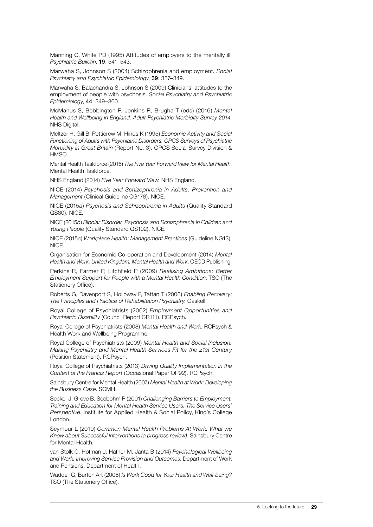Manning C, White PD (1995) Attitudes of employers to the mentally ill. *Psychiatric Bulletin*, 19: 541–543.

Marwaha S, Johnson S (2004) Schizophrenia and employment. *Social Psychiatry and Psychiatric Epidemiology*, 39: 337–349.

Marwaha S, Balachandra S, Johnson S (2009) Clinicians' attitudes to the employment of people with psychosis. *Social Psychiatry and Psychiatric Epidemiology*, 44: 349–360.

McManus S, Bebbington P, Jenkins R, Brugha T (eds) (2016) *Mental Health and Wellbeing in England: Adult Psychiatric Morbidity Survey 2014*. NHS Digital.

Meltzer H, Gill B, Petticrew M, Hinds K (1995) *Economic Activity and Social Functioning of Adults with Psychiatric Disorders. OPCS Surveys of Psychiatric Morbidity in Great Britain* (Report No. 3). OPCS Social Survey Division & HMSO.

Mental Health Taskforce (2016) *The Five Year Forward View for Mental Health*. Mental Health Taskforce.

NHS England (2014) *Five Year Forward View*. NHS England.

NICE (2014) *Psychosis and Schizophrenia in Adults: Prevention and Management* (Clinical Guideline CG178). NICE.

NICE (2015*a*) *Psychosis and Schizophrenia in Adults* (Quality Standard QS80). NICE.

NICE (2015*b*) *Bipolar Disorder, Psychosis and Schizophrenia in Children and Young People* (Quality Standard QS102). NICE.

NICE (2015*c*) *Workplace Health: Management Practices* (Guideline NG13). NICE.

Organisation for Economic Co-operation and Development (2014) *Mental Health and Work: United Kingdom, Mental Health and Work*. OECD Publishing.

Perkins R, Farmer P, Litchfield P (2009) *Realising Ambitions: Better Employment Support for People with a Mental Health Condition*. TSO (The Stationery Office).

Roberts G, Davenport S, Holloway F, Tattan T (2006) *Enabling Recovery: The Principles and Practice of Rehabilitation Psychiatry*. Gaskell.

Royal College of Psychiatrists (2002) *Employment Opportunities and Psychiatric Disability* (Council Report CR111). RCPsych.

Royal College of Psychiatrists (2008) *Mental Health and Work*. RCPsych & Health Work and Wellbeing Programme.

Royal College of Psychiatrists (2009) *Mental Health and Social Inclusion: Making Psychiatry and Mental Health Services Fit for the 21st Century*  (Position Statement). RCPsych.

Royal College of Psychiatrists (2013) *Driving Quality Implementation in the Context of the Francis Report* (Occasional Paper OP92). RCPsych.

Sainsbury Centre for Mental Health (2007) *Mental Health at Work: Developing the Business Case*. SCMH.

Secker J, Grove B, Seebohm P (2001) *Challenging Barriers to Employment, Training and Education for Mental Health Service Users: The Service Users' Perspective*. Institute for Applied Health & Social Policy, King's College London.

Seymour L (2010) *Common Mental Health Problems At Work: What we Know about Successful Interventions (a progress review)*. Sainsbury Centre for Mental Health.

van Stolk C, Hofman J, Hafner M, Janta B (2014) *Psychological Wellbeing and Work: Improving Service Provision and Outcomes*. Department of Work and Pensions, Department of Health.

Waddell G, Burton AK (2006) *Is Work Good for Your Health and Well-being?*  TSO (The Stationery Office)*.*